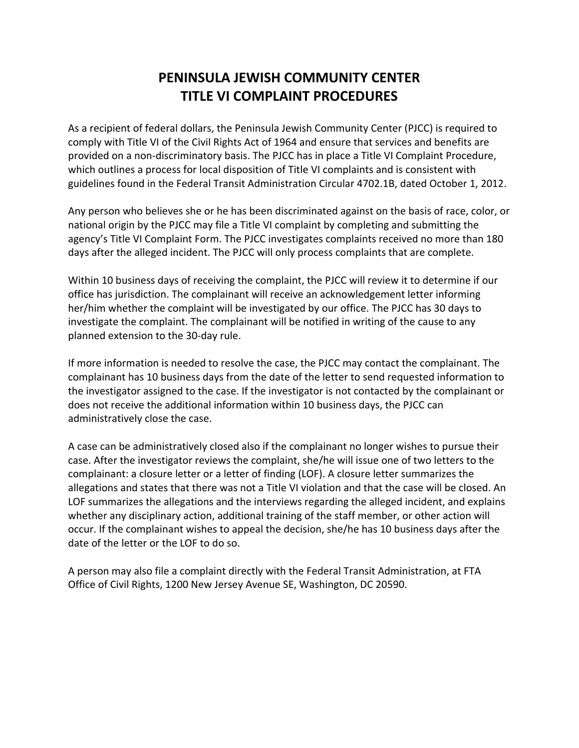## **PENINSULA JEWISH COMMUNITY CENTER TITLE VI COMPLAINT PROCEDURES**

As a recipient of federal dollars, the Peninsula Jewish Community Center (PJCC) is required to comply with Title VI of the Civil Rights Act of 1964 and ensure that services and benefits are provided on a non-discriminatory basis. The PJCC has in place a Title VI Complaint Procedure, which outlines a process for local disposition of Title VI complaints and is consistent with guidelines found in the Federal Transit Administration Circular 4702.1B, dated October 1, 2012.

Any person who believes she or he has been discriminated against on the basis of race, color, or national origin by the PJCC may file a Title VI complaint by completing and submitting the agency's Title VI Complaint Form. The PJCC investigates complaints received no more than 180 days after the alleged incident. The PJCC will only process complaints that are complete.

Within 10 business days of receiving the complaint, the PJCC will review it to determine if our office has jurisdiction. The complainant will receive an acknowledgement letter informing her/him whether the complaint will be investigated by our office. The PJCC has 30 days to investigate the complaint. The complainant will be notified in writing of the cause to any planned extension to the 30-day rule.

If more information is needed to resolve the case, the PJCC may contact the complainant. The complainant has 10 business days from the date of the letter to send requested information to the investigator assigned to the case. If the investigator is not contacted by the complainant or does not receive the additional information within 10 business days, the PJCC can administratively close the case.

A case can be administratively closed also if the complainant no longer wishes to pursue their case. After the investigator reviews the complaint, she/he will issue one of two letters to the complainant: a closure letter or a letter of finding (LOF). A closure letter summarizes the allegations and states that there was not a Title VI violation and that the case will be closed. An LOF summarizes the allegations and the interviews regarding the alleged incident, and explains whether any disciplinary action, additional training of the staff member, or other action will occur. If the complainant wishes to appeal the decision, she/he has 10 business days after the date of the letter or the LOF to do so.

A person may also file a complaint directly with the Federal Transit Administration, at FTA Office of Civil Rights, 1200 New Jersey Avenue SE, Washington, DC 20590.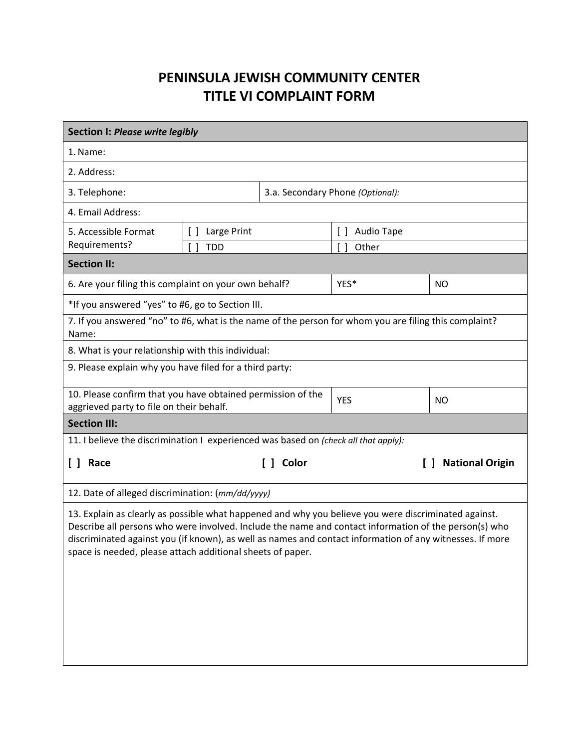## **PENINSULA JEWISH COMMUNITY CENTER TITLE VI COMPLAINT FORM**

| <b>Section I: Please write legibly</b>                                                                                                                                                                                                                                                                                                                                                  |                       |                                  |                            |                        |  |
|-----------------------------------------------------------------------------------------------------------------------------------------------------------------------------------------------------------------------------------------------------------------------------------------------------------------------------------------------------------------------------------------|-----------------------|----------------------------------|----------------------------|------------------------|--|
| 1. Name:                                                                                                                                                                                                                                                                                                                                                                                |                       |                                  |                            |                        |  |
| 2. Address:                                                                                                                                                                                                                                                                                                                                                                             |                       |                                  |                            |                        |  |
| 3. Telephone:                                                                                                                                                                                                                                                                                                                                                                           |                       | 3.a. Secondary Phone (Optional): |                            |                        |  |
| 4. Email Address:                                                                                                                                                                                                                                                                                                                                                                       |                       |                                  |                            |                        |  |
| 5. Accessible Format                                                                                                                                                                                                                                                                                                                                                                    | Large Print<br>$\Box$ |                                  | Audio Tape<br>$\Box$       |                        |  |
| Requirements?                                                                                                                                                                                                                                                                                                                                                                           | <b>TDD</b>            |                                  | $\lceil$ $\rceil$<br>Other |                        |  |
| <b>Section II:</b>                                                                                                                                                                                                                                                                                                                                                                      |                       |                                  |                            |                        |  |
| 6. Are your filing this complaint on your own behalf?                                                                                                                                                                                                                                                                                                                                   |                       |                                  | YES*                       | NO                     |  |
| *If you answered "yes" to #6, go to Section III.                                                                                                                                                                                                                                                                                                                                        |                       |                                  |                            |                        |  |
| 7. If you answered "no" to #6, what is the name of the person for whom you are filing this complaint?<br>Name:                                                                                                                                                                                                                                                                          |                       |                                  |                            |                        |  |
| 8. What is your relationship with this individual:                                                                                                                                                                                                                                                                                                                                      |                       |                                  |                            |                        |  |
| 9. Please explain why you have filed for a third party:                                                                                                                                                                                                                                                                                                                                 |                       |                                  |                            |                        |  |
| 10. Please confirm that you have obtained permission of the<br>aggrieved party to file on their behalf.                                                                                                                                                                                                                                                                                 |                       | <b>YES</b>                       | NO                         |                        |  |
| <b>Section III:</b>                                                                                                                                                                                                                                                                                                                                                                     |                       |                                  |                            |                        |  |
| 11. I believe the discrimination I experienced was based on (check all that apply):                                                                                                                                                                                                                                                                                                     |                       |                                  |                            |                        |  |
| [ ] Race                                                                                                                                                                                                                                                                                                                                                                                | Color<br>L 1 -        |                                  |                            | <b>National Origin</b> |  |
| 12. Date of alleged discrimination: (mm/dd/yyyy)                                                                                                                                                                                                                                                                                                                                        |                       |                                  |                            |                        |  |
| 13. Explain as clearly as possible what happened and why you believe you were discriminated against.<br>Describe all persons who were involved. Include the name and contact information of the person(s) who<br>discriminated against you (if known), as well as names and contact information of any witnesses. If more<br>space is needed, please attach additional sheets of paper. |                       |                                  |                            |                        |  |